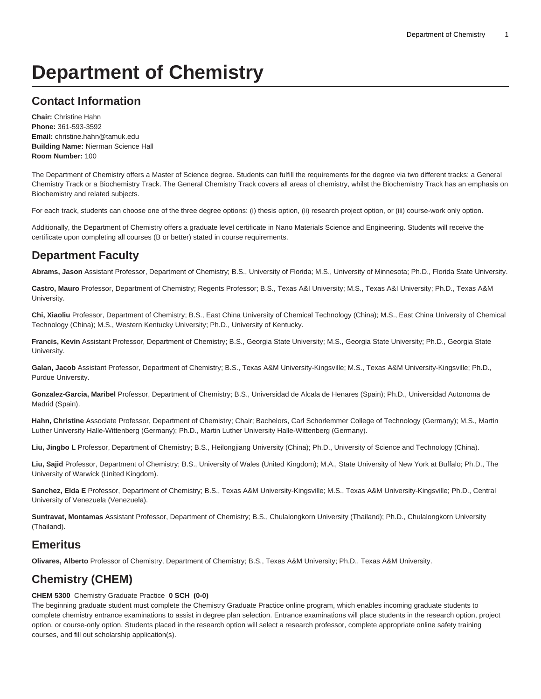# **Department of Chemistry**

# **Contact Information**

**Chair:** Christine Hahn **Phone:** 361-593-3592 **Email:** [christine.hahn@tamuk.edu](mailto:christine.hahn@tamuk.edu) **Building Name:** Nierman Science Hall **Room Number:** 100

The Department of Chemistry offers a Master of Science degree. Students can fulfill the requirements for the degree via two different tracks: a General Chemistry Track or a Biochemistry Track. The General Chemistry Track covers all areas of chemistry, whilst the Biochemistry Track has an emphasis on Biochemistry and related subjects.

For each track, students can choose one of the three degree options: (i) thesis option, (ii) research project option, or (iii) course-work only option.

Additionally, the Department of Chemistry offers a graduate level certificate in Nano Materials Science and Engineering. Students will receive the certificate upon completing all courses (B or better) stated in course requirements.

# **Department Faculty**

**Abrams, Jason** Assistant Professor, Department of Chemistry; B.S., University of Florida; M.S., University of Minnesota; Ph.D., Florida State University.

**Castro, Mauro** Professor, Department of Chemistry; Regents Professor; B.S., Texas A&I University; M.S., Texas A&I University; Ph.D., Texas A&M University.

**Chi, Xiaoliu** Professor, Department of Chemistry; B.S., East China University of Chemical Technology (China); M.S., East China University of Chemical Technology (China); M.S., Western Kentucky University; Ph.D., University of Kentucky.

**Francis, Kevin** Assistant Professor, Department of Chemistry; B.S., Georgia State University; M.S., Georgia State University; Ph.D., Georgia State University.

Galan, Jacob Assistant Professor, Department of Chemistry; B.S., Texas A&M University-Kingsville; M.S., Texas A&M University-Kingsville; Ph.D., Purdue University.

**Gonzalez-Garcia, Maribel** Professor, Department of Chemistry; B.S., Universidad de Alcala de Henares (Spain); Ph.D., Universidad Autonoma de Madrid (Spain).

**Hahn, Christine** Associate Professor, Department of Chemistry; Chair; Bachelors, Carl Schorlemmer College of Technology (Germany); M.S., Martin Luther University Halle-Wittenberg (Germany); Ph.D., Martin Luther University Halle-Wittenberg (Germany).

**Liu, Jingbo L** Professor, Department of Chemistry; B.S., Heilongjiang University (China); Ph.D., University of Science and Technology (China).

**Liu, Sajid** Professor, Department of Chemistry; B.S., University of Wales (United Kingdom); M.A., State University of New York at Buffalo; Ph.D., The University of Warwick (United Kingdom).

**Sanchez, Elda E** Professor, Department of Chemistry; B.S., Texas A&M University-Kingsville; M.S., Texas A&M University-Kingsville; Ph.D., Central University of Venezuela (Venezuela).

**Suntravat, Montamas** Assistant Professor, Department of Chemistry; B.S., Chulalongkorn University (Thailand); Ph.D., Chulalongkorn University (Thailand).

# **Emeritus**

**Olivares, Alberto** Professor of Chemistry, Department of Chemistry; B.S., Texas A&M University; Ph.D., Texas A&M University.

# **Chemistry (CHEM)**

# **CHEM 5300** Chemistry Graduate Practice **0 SCH (0-0)**

The beginning graduate student must complete the Chemistry Graduate Practice online program, which enables incoming graduate students to complete chemistry entrance examinations to assist in degree plan selection. Entrance examinations will place students in the research option, project option, or course-only option. Students placed in the research option will select a research professor, complete appropriate online safety training courses, and fill out scholarship application(s).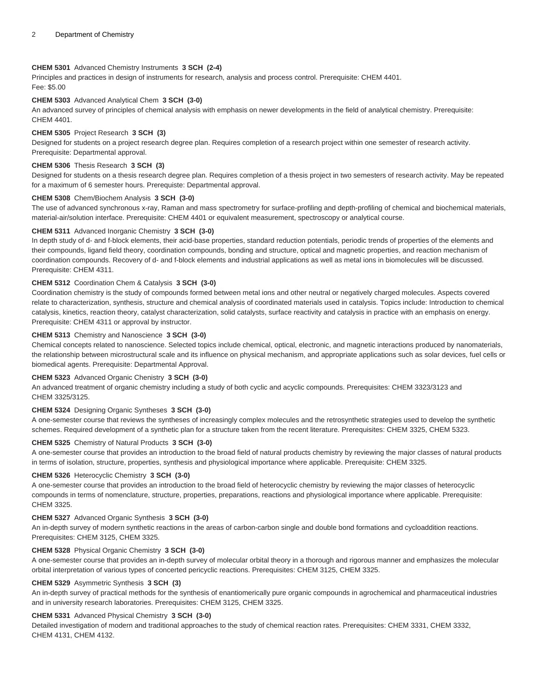## **CHEM 5301** Advanced Chemistry Instruments **3 SCH (2-4)**

Principles and practices in design of instruments for research, analysis and process control. Prerequisite: CHEM 4401. Fee: \$5.00

#### **CHEM 5303** Advanced Analytical Chem **3 SCH (3-0)**

An advanced survey of principles of chemical analysis with emphasis on newer developments in the field of analytical chemistry. Prerequisite: CHEM 4401.

#### **CHEM 5305** Project Research **3 SCH (3)**

Designed for students on a project research degree plan. Requires completion of a research project within one semester of research activity. Prerequisite: Departmental approval.

# **CHEM 5306** Thesis Research **3 SCH (3)**

Designed for students on a thesis research degree plan. Requires completion of a thesis project in two semesters of research activity. May be repeated for a maximum of 6 semester hours. Prerequiste: Departmental approval.

## **CHEM 5308** Chem/Biochem Analysis **3 SCH (3-0)**

The use of advanced synchronous x-ray, Raman and mass spectrometry for surface-profiling and depth-profiling of chemical and biochemical materials, material-air/solution interface. Prerequisite: CHEM 4401 or equivalent measurement, spectroscopy or analytical course.

#### **CHEM 5311** Advanced Inorganic Chemistry **3 SCH (3-0)**

In depth study of d- and f-block elements, their acid-base properties, standard reduction potentials, periodic trends of properties of the elements and their compounds, ligand field theory, coordination compounds, bonding and structure, optical and magnetic properties, and reaction mechanism of coordination compounds. Recovery of d- and f-block elements and industrial applications as well as metal ions in biomolecules will be discussed. Prerequisite: CHEM 4311.

#### **CHEM 5312** Coordination Chem & Catalysis **3 SCH (3-0)**

Coordination chemistry is the study of compounds formed between metal ions and other neutral or negatively charged molecules. Aspects covered relate to characterization, synthesis, structure and chemical analysis of coordinated materials used in catalysis. Topics include: Introduction to chemical catalysis, kinetics, reaction theory, catalyst characterization, solid catalysts, surface reactivity and catalysis in practice with an emphasis on energy. Prerequisite: CHEM 4311 or approval by instructor.

#### **CHEM 5313** Chemistry and Nanoscience **3 SCH (3-0)**

Chemical concepts related to nanoscience. Selected topics include chemical, optical, electronic, and magnetic interactions produced by nanomaterials, the relationship between microstructural scale and its influence on physical mechanism, and appropriate applications such as solar devices, fuel cells or biomedical agents. Prerequisite: Departmental Approval.

### **CHEM 5323** Advanced Organic Chenistry **3 SCH (3-0)**

An advanced treatment of organic chemistry including a study of both cyclic and acyclic compounds. Prerequisites: CHEM 3323/3123 and CHEM 3325/3125.

#### **CHEM 5324** Designing Organic Syntheses **3 SCH (3-0)**

A one-semester course that reviews the syntheses of increasingly complex molecules and the retrosynthetic strategies used to develop the synthetic schemes. Required development of a synthetic plan for a structure taken from the recent literature. Prerequisites: CHEM 3325, CHEM 5323.

### **CHEM 5325** Chemistry of Natural Products **3 SCH (3-0)**

A one-semester course that provides an introduction to the broad field of natural products chemistry by reviewing the major classes of natural products in terms of isolation, structure, properties, synthesis and physiological importance where applicable. Prerequisite: CHEM 3325.

### **CHEM 5326** Heterocyclic Chemistry **3 SCH (3-0)**

A one-semester course that provides an introduction to the broad field of heterocyclic chemistry by reviewing the major classes of heterocyclic compounds in terms of nomenclature, structure, properties, preparations, reactions and physiological importance where applicable. Prerequisite: CHEM 3325.

#### **CHEM 5327** Advanced Organic Synthesis **3 SCH (3-0)**

An in-depth survey of modern synthetic reactions in the areas of carbon-carbon single and double bond formations and cycloaddition reactions. Prerequisites: CHEM 3125, CHEM 3325.

#### **CHEM 5328** Physical Organic Chemistry **3 SCH (3-0)**

A one-semester course that provides an in-depth survey of molecular orbital theory in a thorough and rigorous manner and emphasizes the molecular orbital interpretation of various types of concerted pericyclic reactions. Prerequisites: CHEM 3125, CHEM 3325.

#### **CHEM 5329** Asymmetric Synthesis **3 SCH (3)**

An in-depth survey of practical methods for the synthesis of enantiomerically pure organic compounds in agrochemical and pharmaceutical industries and in university research laboratories. Prerequisites: CHEM 3125, CHEM 3325.

# **CHEM 5331** Advanced Physical Chemistry **3 SCH (3-0)**

Detailed investigation of modern and traditional approaches to the study of chemical reaction rates. Prerequisites: CHEM 3331, CHEM 3332, CHEM 4131, CHEM 4132.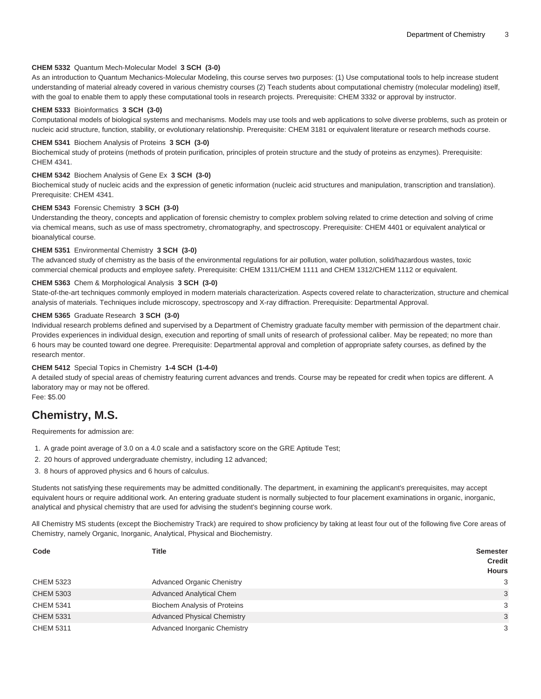### **CHEM 5332** Quantum Mech-Molecular Model **3 SCH (3-0)**

As an introduction to Quantum Mechanics-Molecular Modeling, this course serves two purposes: (1) Use computational tools to help increase student understanding of material already covered in various chemistry courses (2) Teach students about computational chemistry (molecular modeling) itself, with the goal to enable them to apply these computational tools in research projects. Prerequisite: CHEM 3332 or approval by instructor.

#### **CHEM 5333** Bioinformatics **3 SCH (3-0)**

Computational models of biological systems and mechanisms. Models may use tools and web applications to solve diverse problems, such as protein or nucleic acid structure, function, stability, or evolutionary relationship. Prerequisite: CHEM 3181 or equivalent literature or research methods course.

#### **CHEM 5341** Biochem Analysis of Proteins **3 SCH (3-0)**

Biochemical study of proteins (methods of protein purification, principles of protein structure and the study of proteins as enzymes). Prerequisite: CHEM 4341.

#### **CHEM 5342** Biochem Analysis of Gene Ex **3 SCH (3-0)**

Biochemical study of nucleic acids and the expression of genetic information (nucleic acid structures and manipulation, transcription and translation). Prerequisite: CHEM 4341.

## **CHEM 5343** Forensic Chemistry **3 SCH (3-0)**

Understanding the theory, concepts and application of forensic chemistry to complex problem solving related to crime detection and solving of crime via chemical means, such as use of mass spectrometry, chromatography, and spectroscopy. Prerequisite: CHEM 4401 or equivalent analytical or bioanalytical course.

#### **CHEM 5351** Environmental Chemistry **3 SCH (3-0)**

The advanced study of chemistry as the basis of the environmental regulations for air pollution, water pollution, solid/hazardous wastes, toxic commercial chemical products and employee safety. Prerequisite: CHEM 1311/CHEM 1111 and CHEM 1312/CHEM 1112 or equivalent.

#### **CHEM 5363** Chem & Morphological Analysis **3 SCH (3-0)**

State-of-the-art techniques commonly employed in modern materials characterization. Aspects covered relate to characterization, structure and chemical analysis of materials. Techniques include microscopy, spectroscopy and X-ray diffraction. Prerequisite: Departmental Approval.

#### **CHEM 5365** Graduate Research **3 SCH (3-0)**

Individual research problems defined and supervised by a Department of Chemistry graduate faculty member with permission of the department chair. Provides experiences in individual design, execution and reporting of small units of research of professional caliber. May be repeated; no more than 6 hours may be counted toward one degree. Prerequisite: Departmental approval and completion of appropriate safety courses, as defined by the research mentor.

#### **CHEM 5412** Special Topics in Chemistry **1-4 SCH (1-4-0)**

A detailed study of special areas of chemistry featuring current advances and trends. Course may be repeated for credit when topics are different. A laboratory may or may not be offered.

Fee: \$5.00

# **Chemistry, M.S.**

Requirements for admission are:

- 1. A grade point average of 3.0 on a 4.0 scale and a satisfactory score on the GRE Aptitude Test;
- 2. 20 hours of approved undergraduate chemistry, including 12 advanced;
- 3. 8 hours of approved physics and 6 hours of calculus.

Students not satisfying these requirements may be admitted conditionally. The department, in examining the applicant's prerequisites, may accept equivalent hours or require additional work. An entering graduate student is normally subjected to four placement examinations in organic, inorganic, analytical and physical chemistry that are used for advising the student's beginning course work.

All Chemistry MS students (except the Biochemistry Track) are required to show proficiency by taking at least four out of the following five Core areas of Chemistry, namely Organic, Inorganic, Analytical, Physical and Biochemistry.

| Code             | <b>Title</b>                        | <b>Semester</b><br><b>Credit</b><br><b>Hours</b> |
|------------------|-------------------------------------|--------------------------------------------------|
| <b>CHEM 5323</b> | <b>Advanced Organic Chenistry</b>   | 3                                                |
| <b>CHEM 5303</b> | <b>Advanced Analytical Chem</b>     | 3                                                |
| <b>CHEM 5341</b> | <b>Biochem Analysis of Proteins</b> | 3                                                |
| <b>CHEM 5331</b> | <b>Advanced Physical Chemistry</b>  | 3                                                |
| <b>CHEM 5311</b> | Advanced Inorganic Chemistry        | 3                                                |